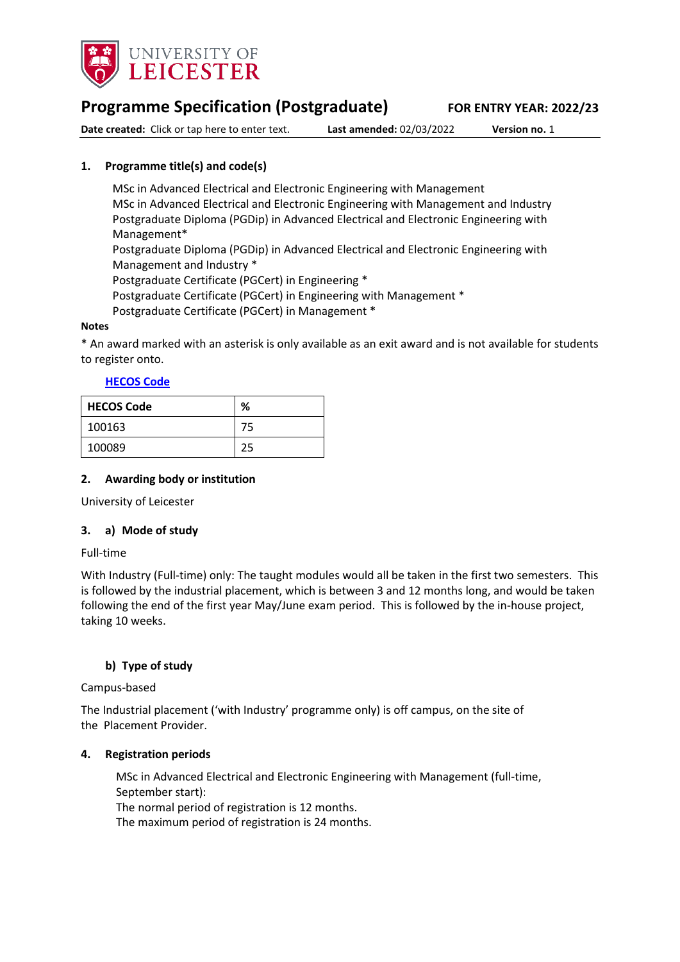

# **Programme Specification (Postgraduate) FOR ENTRY YEAR: 2022/23**

**Date created:** Click or tap here to enter text. **Last amended:** 02/03/2022 **Version no.** 1

# <span id="page-0-0"></span>**1. Programme title(s) and code(s)**

MSc in Advanced Electrical and Electronic Engineering with Management MSc in Advanced Electrical and Electronic Engineering with Management and Industry Postgraduate Diploma (PGDip) in Advanced Electrical and Electronic Engineering with Management\* Postgraduate Diploma (PGDip) in Advanced Electrical and Electronic Engineering with Management and Industry \* Postgraduate Certificate (PGCert) in Engineering \* Postgraduate Certificate (PGCert) in Engineering with Management \* Postgraduate Certificate (PGCert) in Management \*

### **Notes**

\* An award marked with an asterisk is only available as an exit award and is not available for students to register onto.

## **[HECOS Code](https://www.hesa.ac.uk/innovation/hecos)**

| <b>HECOS Code</b> | %  |
|-------------------|----|
| 100163            | 75 |
| 100089            | 25 |

### **2. Awarding body or institution**

University of Leicester

### **3. a) Mode of study**

### Full-time

With Industry (Full-time) only: The taught modules would all be taken in the first two semesters. This is followed by the industrial placement, which is between 3 and 12 months long, and would be taken following the end of the first year May/June exam period. This is followed by the in-house project, taking 10 weeks.

## **b) Type of study**

### Campus-based

The Industrial placement ('with Industry' programme only) is off campus, on the site of the Placement Provider.

### **4. Registration periods**

MSc in Advanced Electrical and Electronic Engineering with Management (full-time, September start): The normal period of registration is 12 months. The maximum period of registration is 24 months.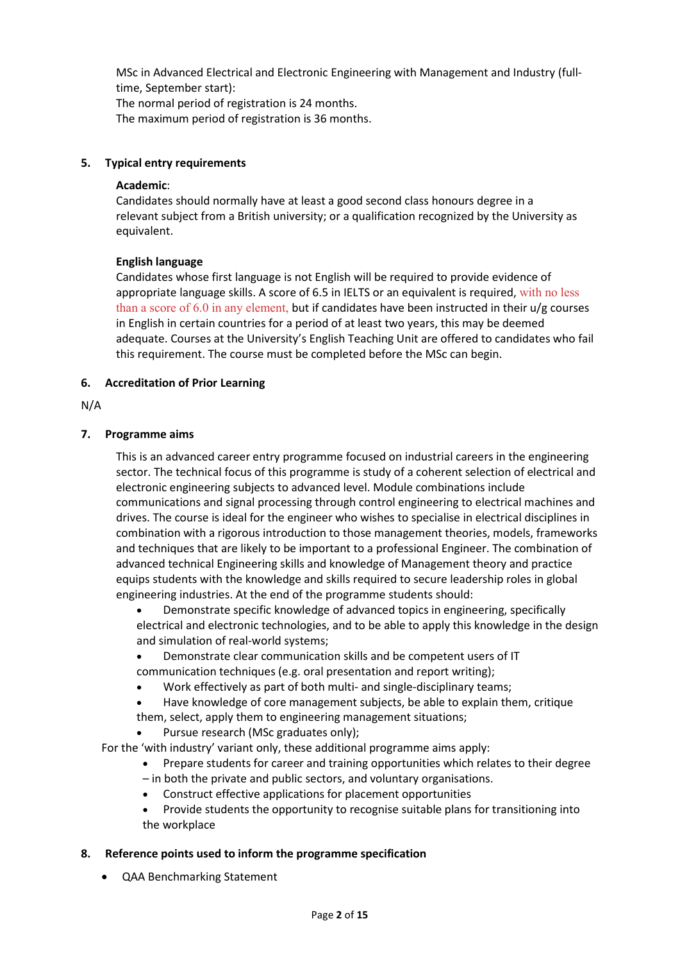MSc in Advanced Electrical and Electronic Engineering with Management and Industry (fulltime, September start):

The normal period of registration is 24 months.

The maximum period of registration is 36 months.

## **5. Typical entry requirements**

### **Academic**:

Candidates should normally have at least a good second class honours degree in a relevant subject from a British university; or a qualification recognized by the University as equivalent.

## **English language**

Candidates whose first language is not English will be required to provide evidence of appropriate language skills. A score of 6.5 in IELTS or an equivalent is required, with no less than a score of 6.0 in any element, but if candidates have been instructed in their  $u/g$  courses in English in certain countries for a period of at least two years, this may be deemed adequate. Courses at the University's English Teaching Unit are offered to candidates who fail this requirement. The course must be completed before the MSc can begin.

## **6. Accreditation of Prior Learning**

## N/A

## **7. Programme aims**

This is an advanced career entry programme focused on industrial careers in the engineering sector. The technical focus of this programme is study of a coherent selection of electrical and electronic engineering subjects to advanced level. Module combinations include communications and signal processing through control engineering to electrical machines and drives. The course is ideal for the engineer who wishes to specialise in electrical disciplines in combination with a rigorous introduction to those management theories, models, frameworks and techniques that are likely to be important to a professional Engineer. The combination of advanced technical Engineering skills and knowledge of Management theory and practice equips students with the knowledge and skills required to secure leadership roles in global engineering industries. At the end of the programme students should:

• Demonstrate specific knowledge of advanced topics in engineering, specifically electrical and electronic technologies, and to be able to apply this knowledge in the design and simulation of real-world systems;

• Demonstrate clear communication skills and be competent users of IT communication techniques (e.g. oral presentation and report writing);

- Work effectively as part of both multi- and single-disciplinary teams;
- Have knowledge of core management subjects, be able to explain them, critique
- them, select, apply them to engineering management situations;
	- Pursue research (MSc graduates only);

For the 'with industry' variant only, these additional programme aims apply:

- Prepare students for career and training opportunities which relates to their degree
- in both the private and public sectors, and voluntary organisations.
- Construct effective applications for placement opportunities
- Provide students the opportunity to recognise suitable plans for transitioning into the workplace

## **8. Reference points used to inform the programme specification**

• QAA Benchmarking Statement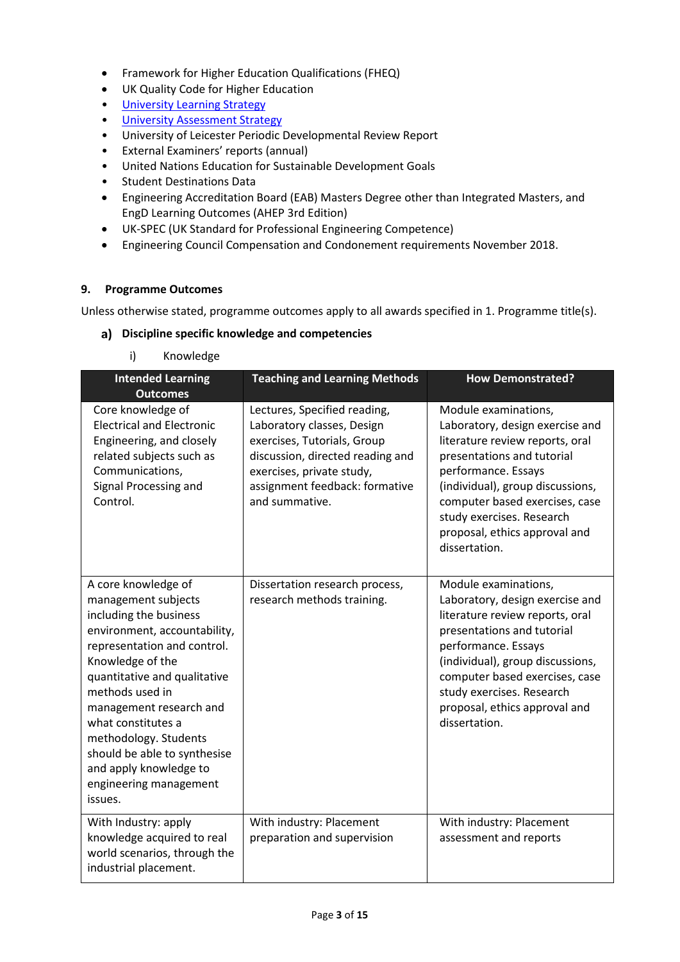- Framework for Higher Education Qualifications (FHEQ)
- UK Quality Code for Higher Education
- [University Learning](https://www2.le.ac.uk/offices/sas2/quality/learnteach) Strategy
- [University Assessment Strategy](https://www2.le.ac.uk/offices/sas2/quality/learnteach)
- University of Leicester Periodic Developmental Review Report
- External Examiners' reports (annual)
- United Nations Education for Sustainable Development Goals
- Student Destinations Data
- Engineering Accreditation Board (EAB) Masters Degree other than Integrated Masters, and EngD Learning Outcomes (AHEP 3rd Edition)
- UK-SPEC (UK Standard for Professional Engineering Competence)
- Engineering Council Compensation and Condonement requirements November 2018.

### **9. Programme Outcomes**

Unless otherwise stated, programme outcomes apply to all awards specified in [1.](#page-0-0) Programme title(s).

#### **Discipline specific knowledge and competencies**

i) Knowledge

| <b>Intended Learning</b><br><b>Outcomes</b>                                                                                                                                                                                                                                                                                                                                         | <b>Teaching and Learning Methods</b>                                                                                                                                                                           | <b>How Demonstrated?</b>                                                                                                                                                                                                                                                                             |
|-------------------------------------------------------------------------------------------------------------------------------------------------------------------------------------------------------------------------------------------------------------------------------------------------------------------------------------------------------------------------------------|----------------------------------------------------------------------------------------------------------------------------------------------------------------------------------------------------------------|------------------------------------------------------------------------------------------------------------------------------------------------------------------------------------------------------------------------------------------------------------------------------------------------------|
| Core knowledge of<br><b>Electrical and Electronic</b><br>Engineering, and closely<br>related subjects such as<br>Communications,<br>Signal Processing and<br>Control.                                                                                                                                                                                                               | Lectures, Specified reading,<br>Laboratory classes, Design<br>exercises, Tutorials, Group<br>discussion, directed reading and<br>exercises, private study,<br>assignment feedback: formative<br>and summative. | Module examinations,<br>Laboratory, design exercise and<br>literature review reports, oral<br>presentations and tutorial<br>performance. Essays<br>(individual), group discussions,<br>computer based exercises, case<br>study exercises. Research<br>proposal, ethics approval and<br>dissertation. |
| A core knowledge of<br>management subjects<br>including the business<br>environment, accountability,<br>representation and control.<br>Knowledge of the<br>quantitative and qualitative<br>methods used in<br>management research and<br>what constitutes a<br>methodology. Students<br>should be able to synthesise<br>and apply knowledge to<br>engineering management<br>issues. | Dissertation research process,<br>research methods training.                                                                                                                                                   | Module examinations,<br>Laboratory, design exercise and<br>literature review reports, oral<br>presentations and tutorial<br>performance. Essays<br>(individual), group discussions,<br>computer based exercises, case<br>study exercises. Research<br>proposal, ethics approval and<br>dissertation. |
| With Industry: apply<br>knowledge acquired to real<br>world scenarios, through the<br>industrial placement.                                                                                                                                                                                                                                                                         | With industry: Placement<br>preparation and supervision                                                                                                                                                        | With industry: Placement<br>assessment and reports                                                                                                                                                                                                                                                   |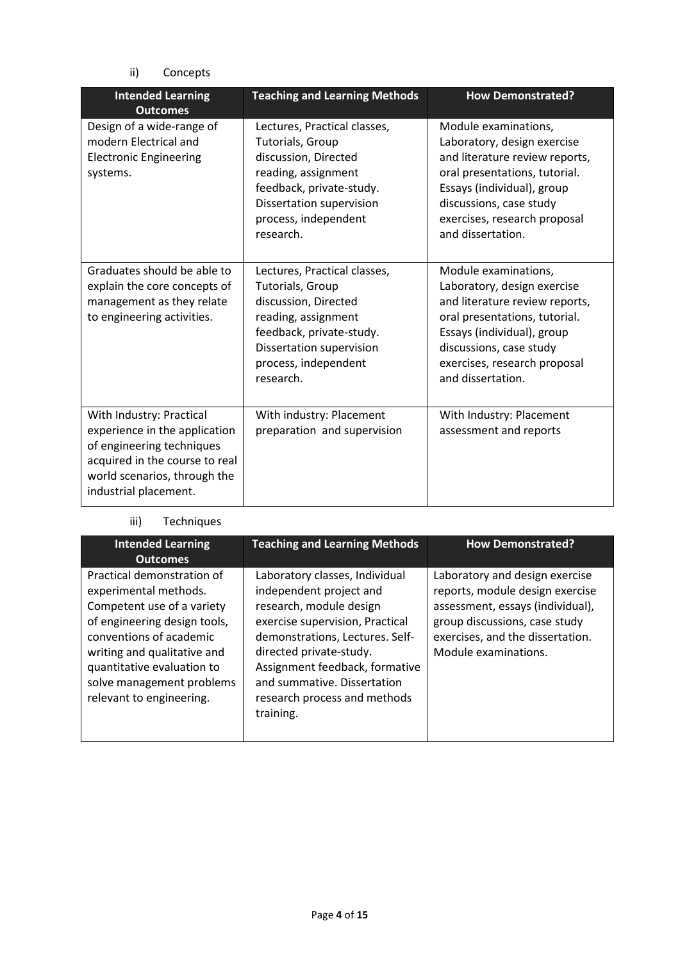ii) Concepts

| <b>Intended Learning</b><br><b>Outcomes</b>                                                                                                                                       | <b>Teaching and Learning Methods</b>                                                                                                                                                                | <b>How Demonstrated?</b>                                                                                                                                                                                                             |
|-----------------------------------------------------------------------------------------------------------------------------------------------------------------------------------|-----------------------------------------------------------------------------------------------------------------------------------------------------------------------------------------------------|--------------------------------------------------------------------------------------------------------------------------------------------------------------------------------------------------------------------------------------|
| Design of a wide-range of<br>modern Electrical and<br><b>Electronic Engineering</b><br>systems.                                                                                   | Lectures, Practical classes,<br>Tutorials, Group<br>discussion, Directed<br>reading, assignment<br>feedback, private-study.<br>Dissertation supervision<br>process, independent<br>research.        | Module examinations,<br>Laboratory, design exercise<br>and literature review reports,<br>oral presentations, tutorial.<br>Essays (individual), group<br>discussions, case study<br>exercises, research proposal<br>and dissertation. |
| Graduates should be able to<br>explain the core concepts of<br>management as they relate<br>to engineering activities.                                                            | Lectures, Practical classes,<br><b>Tutorials, Group</b><br>discussion, Directed<br>reading, assignment<br>feedback, private-study.<br>Dissertation supervision<br>process, independent<br>research. | Module examinations,<br>Laboratory, design exercise<br>and literature review reports,<br>oral presentations, tutorial.<br>Essays (individual), group<br>discussions, case study<br>exercises, research proposal<br>and dissertation. |
| With Industry: Practical<br>experience in the application<br>of engineering techniques<br>acquired in the course to real<br>world scenarios, through the<br>industrial placement. | With industry: Placement<br>preparation and supervision                                                                                                                                             | With Industry: Placement<br>assessment and reports                                                                                                                                                                                   |

## iii) Techniques

| <b>Intended Learning</b><br><b>Outcomes</b>                                                                                                                                                                                                                        | <b>Teaching and Learning Methods</b>                                                                                                                                                                                                                                                                | <b>How Demonstrated?</b>                                                                                                                                                                           |
|--------------------------------------------------------------------------------------------------------------------------------------------------------------------------------------------------------------------------------------------------------------------|-----------------------------------------------------------------------------------------------------------------------------------------------------------------------------------------------------------------------------------------------------------------------------------------------------|----------------------------------------------------------------------------------------------------------------------------------------------------------------------------------------------------|
| Practical demonstration of<br>experimental methods.<br>Competent use of a variety<br>of engineering design tools,<br>conventions of academic<br>writing and qualitative and<br>quantitative evaluation to<br>solve management problems<br>relevant to engineering. | Laboratory classes, Individual<br>independent project and<br>research, module design<br>exercise supervision, Practical<br>demonstrations, Lectures. Self-<br>directed private-study.<br>Assignment feedback, formative<br>and summative. Dissertation<br>research process and methods<br>training. | Laboratory and design exercise<br>reports, module design exercise<br>assessment, essays (individual),<br>group discussions, case study<br>exercises, and the dissertation.<br>Module examinations. |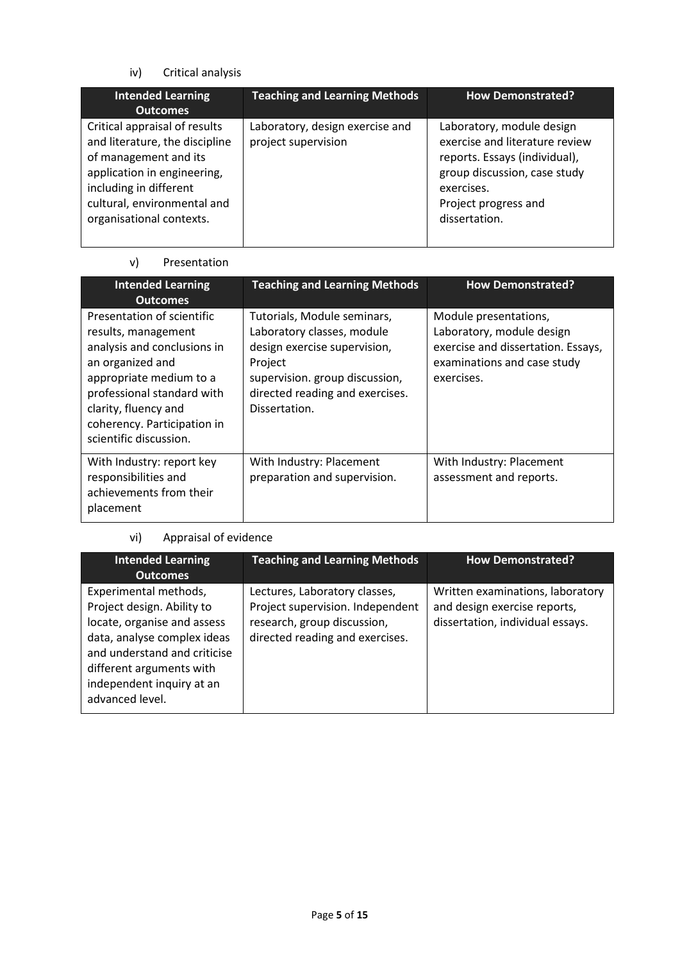iv) Critical analysis

| <b>Intended Learning</b><br><b>Outcomes</b>                                                                                                                                                                  | <b>Teaching and Learning Methods</b>                   | <b>How Demonstrated?</b>                                                                                                                                                            |
|--------------------------------------------------------------------------------------------------------------------------------------------------------------------------------------------------------------|--------------------------------------------------------|-------------------------------------------------------------------------------------------------------------------------------------------------------------------------------------|
| Critical appraisal of results<br>and literature, the discipline<br>of management and its<br>application in engineering,<br>including in different<br>cultural, environmental and<br>organisational contexts. | Laboratory, design exercise and<br>project supervision | Laboratory, module design<br>exercise and literature review<br>reports. Essays (individual),<br>group discussion, case study<br>exercises.<br>Project progress and<br>dissertation. |

# v) Presentation

| <b>Intended Learning</b><br><b>Outcomes</b>                                                                                                                                                                                                    | <b>Teaching and Learning Methods</b>                                                                                                                                                       | <b>How Demonstrated?</b>                                                                                                              |
|------------------------------------------------------------------------------------------------------------------------------------------------------------------------------------------------------------------------------------------------|--------------------------------------------------------------------------------------------------------------------------------------------------------------------------------------------|---------------------------------------------------------------------------------------------------------------------------------------|
| Presentation of scientific<br>results, management<br>analysis and conclusions in<br>an organized and<br>appropriate medium to a<br>professional standard with<br>clarity, fluency and<br>coherency. Participation in<br>scientific discussion. | Tutorials, Module seminars,<br>Laboratory classes, module<br>design exercise supervision,<br>Project<br>supervision. group discussion,<br>directed reading and exercises.<br>Dissertation. | Module presentations,<br>Laboratory, module design<br>exercise and dissertation. Essays,<br>examinations and case study<br>exercises. |
| With Industry: report key<br>responsibilities and<br>achievements from their<br>placement                                                                                                                                                      | With Industry: Placement<br>preparation and supervision.                                                                                                                                   | With Industry: Placement<br>assessment and reports.                                                                                   |

# vi) Appraisal of evidence

| <b>Intended Learning</b><br><b>Outcomes</b>                                                                                                                                                                                   | <b>Teaching and Learning Methods</b>                                                                                                | <b>How Demonstrated?</b>                                                                             |
|-------------------------------------------------------------------------------------------------------------------------------------------------------------------------------------------------------------------------------|-------------------------------------------------------------------------------------------------------------------------------------|------------------------------------------------------------------------------------------------------|
| Experimental methods,<br>Project design. Ability to<br>locate, organise and assess<br>data, analyse complex ideas<br>and understand and criticise<br>different arguments with<br>independent inquiry at an<br>advanced level. | Lectures, Laboratory classes,<br>Project supervision. Independent<br>research, group discussion,<br>directed reading and exercises. | Written examinations, laboratory<br>and design exercise reports,<br>dissertation, individual essays. |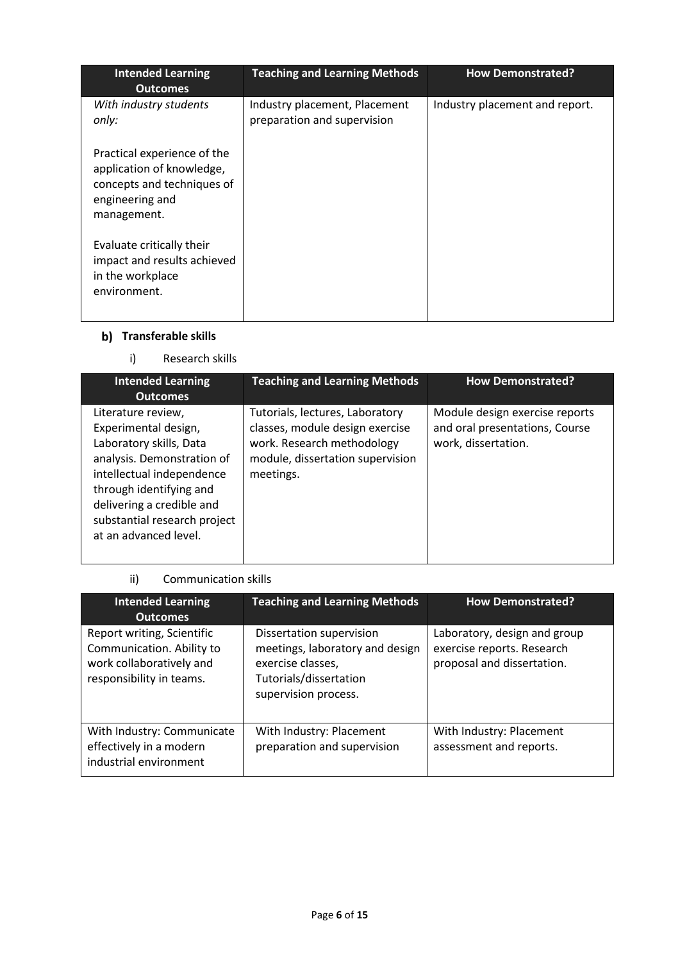| <b>Intended Learning</b><br><b>Outcomes</b>                                                                              | <b>Teaching and Learning Methods</b>                         | <b>How Demonstrated?</b>       |
|--------------------------------------------------------------------------------------------------------------------------|--------------------------------------------------------------|--------------------------------|
| With industry students<br>only:                                                                                          | Industry placement, Placement<br>preparation and supervision | Industry placement and report. |
| Practical experience of the<br>application of knowledge,<br>concepts and techniques of<br>engineering and<br>management. |                                                              |                                |
| Evaluate critically their<br>impact and results achieved<br>in the workplace<br>environment.                             |                                                              |                                |

# **Transferable skills**

i) Research skills

| <b>Intended Learning</b><br><b>Outcomes</b>                                                                                                                                                                                                       | <b>Teaching and Learning Methods</b>                                                                                                              | <b>How Demonstrated?</b>                                                                |
|---------------------------------------------------------------------------------------------------------------------------------------------------------------------------------------------------------------------------------------------------|---------------------------------------------------------------------------------------------------------------------------------------------------|-----------------------------------------------------------------------------------------|
| Literature review,<br>Experimental design,<br>Laboratory skills, Data<br>analysis. Demonstration of<br>intellectual independence<br>through identifying and<br>delivering a credible and<br>substantial research project<br>at an advanced level. | Tutorials, lectures, Laboratory<br>classes, module design exercise<br>work. Research methodology<br>module, dissertation supervision<br>meetings. | Module design exercise reports<br>and oral presentations, Course<br>work, dissertation. |

# ii) Communication skills

| <b>Intended Learning</b><br><b>Outcomes</b>                                                                     | <b>Teaching and Learning Methods</b>                                                                                               | <b>How Demonstrated?</b>                                                                 |
|-----------------------------------------------------------------------------------------------------------------|------------------------------------------------------------------------------------------------------------------------------------|------------------------------------------------------------------------------------------|
| Report writing, Scientific<br>Communication. Ability to<br>work collaboratively and<br>responsibility in teams. | Dissertation supervision<br>meetings, laboratory and design<br>exercise classes,<br>Tutorials/dissertation<br>supervision process. | Laboratory, design and group<br>exercise reports. Research<br>proposal and dissertation. |
| With Industry: Communicate<br>effectively in a modern<br>industrial environment                                 | With Industry: Placement<br>preparation and supervision                                                                            | With Industry: Placement<br>assessment and reports.                                      |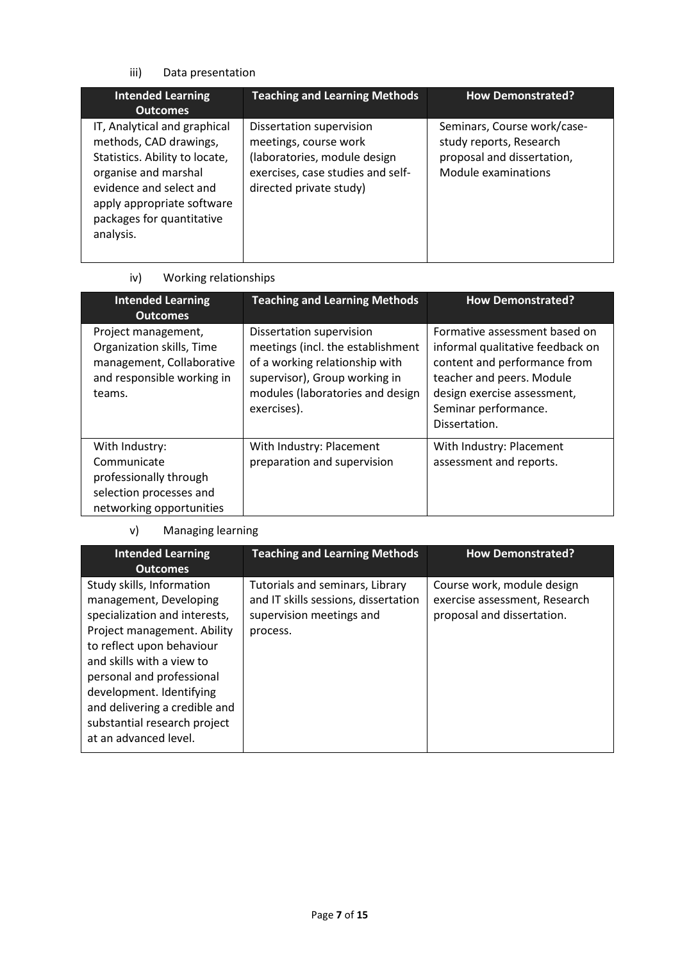iii) Data presentation

| <b>Intended Learning</b><br><b>Outcomes</b>                                                                                                                                                                         | <b>Teaching and Learning Methods</b>                                                                                                              | <b>How Demonstrated?</b>                                                                                    |
|---------------------------------------------------------------------------------------------------------------------------------------------------------------------------------------------------------------------|---------------------------------------------------------------------------------------------------------------------------------------------------|-------------------------------------------------------------------------------------------------------------|
| IT, Analytical and graphical<br>methods, CAD drawings,<br>Statistics. Ability to locate,<br>organise and marshal<br>evidence and select and<br>apply appropriate software<br>packages for quantitative<br>analysis. | Dissertation supervision<br>meetings, course work<br>(laboratories, module design<br>exercises, case studies and self-<br>directed private study) | Seminars, Course work/case-<br>study reports, Research<br>proposal and dissertation,<br>Module examinations |

iv) Working relationships

| <b>Intended Learning</b><br><b>Outcomes</b>                                                                           | <b>Teaching and Learning Methods</b>                                                                                                                                                | <b>How Demonstrated?</b>                                                                                                                                                                               |
|-----------------------------------------------------------------------------------------------------------------------|-------------------------------------------------------------------------------------------------------------------------------------------------------------------------------------|--------------------------------------------------------------------------------------------------------------------------------------------------------------------------------------------------------|
| Project management,<br>Organization skills, Time<br>management, Collaborative<br>and responsible working in<br>teams. | Dissertation supervision<br>meetings (incl. the establishment<br>of a working relationship with<br>supervisor), Group working in<br>modules (laboratories and design<br>exercises). | Formative assessment based on<br>informal qualitative feedback on<br>content and performance from<br>teacher and peers. Module<br>design exercise assessment,<br>Seminar performance.<br>Dissertation. |
| With Industry:<br>Communicate<br>professionally through<br>selection processes and<br>networking opportunities        | With Industry: Placement<br>preparation and supervision                                                                                                                             | With Industry: Placement<br>assessment and reports.                                                                                                                                                    |

# v) Managing learning

| <b>Intended Learning</b><br><b>Outcomes</b>                                                                                                                                                                                                                                                                                      | <b>Teaching and Learning Methods</b>                                                                            | <b>How Demonstrated?</b>                                                                  |
|----------------------------------------------------------------------------------------------------------------------------------------------------------------------------------------------------------------------------------------------------------------------------------------------------------------------------------|-----------------------------------------------------------------------------------------------------------------|-------------------------------------------------------------------------------------------|
| Study skills, Information<br>management, Developing<br>specialization and interests,<br>Project management. Ability<br>to reflect upon behaviour<br>and skills with a view to<br>personal and professional<br>development. Identifying<br>and delivering a credible and<br>substantial research project<br>at an advanced level. | Tutorials and seminars, Library<br>and IT skills sessions, dissertation<br>supervision meetings and<br>process. | Course work, module design<br>exercise assessment, Research<br>proposal and dissertation. |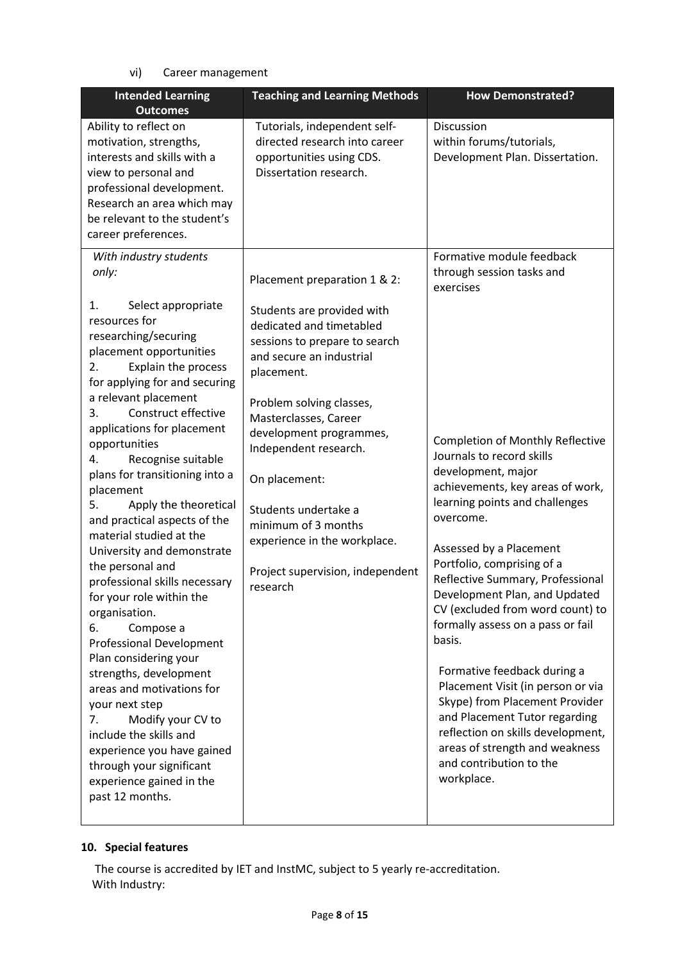# vi) Career management

| <b>Intended Learning</b><br><b>Outcomes</b>                                                                                                                                                                                                                                                                                                                                                                                                                                                                                                                                                                                                                                                                                                                                                                                                                                                                                  | <b>Teaching and Learning Methods</b>                                                                                                                                                                                                                                                                                                                                                                                       | <b>How Demonstrated?</b>                                                                                                                                                                                                                                                                                                                                                                                                                                                                                                                                                                                                                                                                                                     |
|------------------------------------------------------------------------------------------------------------------------------------------------------------------------------------------------------------------------------------------------------------------------------------------------------------------------------------------------------------------------------------------------------------------------------------------------------------------------------------------------------------------------------------------------------------------------------------------------------------------------------------------------------------------------------------------------------------------------------------------------------------------------------------------------------------------------------------------------------------------------------------------------------------------------------|----------------------------------------------------------------------------------------------------------------------------------------------------------------------------------------------------------------------------------------------------------------------------------------------------------------------------------------------------------------------------------------------------------------------------|------------------------------------------------------------------------------------------------------------------------------------------------------------------------------------------------------------------------------------------------------------------------------------------------------------------------------------------------------------------------------------------------------------------------------------------------------------------------------------------------------------------------------------------------------------------------------------------------------------------------------------------------------------------------------------------------------------------------------|
| Ability to reflect on<br>motivation, strengths,<br>interests and skills with a<br>view to personal and<br>professional development.<br>Research an area which may<br>be relevant to the student's<br>career preferences.                                                                                                                                                                                                                                                                                                                                                                                                                                                                                                                                                                                                                                                                                                     | Tutorials, independent self-<br>directed research into career<br>opportunities using CDS.<br>Dissertation research.                                                                                                                                                                                                                                                                                                        | Discussion<br>within forums/tutorials,<br>Development Plan. Dissertation.                                                                                                                                                                                                                                                                                                                                                                                                                                                                                                                                                                                                                                                    |
| With industry students<br>only:<br>Select appropriate<br>1.<br>resources for<br>researching/securing<br>placement opportunities<br>Explain the process<br>2.<br>for applying for and securing<br>a relevant placement<br>Construct effective<br>3.<br>applications for placement<br>opportunities<br>4.<br>Recognise suitable<br>plans for transitioning into a<br>placement<br>Apply the theoretical<br>5.<br>and practical aspects of the<br>material studied at the<br>University and demonstrate<br>the personal and<br>professional skills necessary<br>for your role within the<br>organisation.<br>Compose a<br>6.<br><b>Professional Development</b><br>Plan considering your<br>strengths, development<br>areas and motivations for<br>your next step<br>Modify your CV to<br>7.<br>include the skills and<br>experience you have gained<br>through your significant<br>experience gained in the<br>past 12 months. | Placement preparation 1 & 2:<br>Students are provided with<br>dedicated and timetabled<br>sessions to prepare to search<br>and secure an industrial<br>placement.<br>Problem solving classes,<br>Masterclasses, Career<br>development programmes,<br>Independent research.<br>On placement:<br>Students undertake a<br>minimum of 3 months<br>experience in the workplace.<br>Project supervision, independent<br>research | Formative module feedback<br>through session tasks and<br>exercises<br><b>Completion of Monthly Reflective</b><br>Journals to record skills<br>development, major<br>achievements, key areas of work,<br>learning points and challenges<br>overcome.<br>Assessed by a Placement<br>Portfolio, comprising of a<br>Reflective Summary, Professional<br>Development Plan, and Updated<br>CV (excluded from word count) to<br>formally assess on a pass or fail<br>basis.<br>Formative feedback during a<br>Placement Visit (in person or via<br>Skype) from Placement Provider<br>and Placement Tutor regarding<br>reflection on skills development,<br>areas of strength and weakness<br>and contribution to the<br>workplace. |
|                                                                                                                                                                                                                                                                                                                                                                                                                                                                                                                                                                                                                                                                                                                                                                                                                                                                                                                              |                                                                                                                                                                                                                                                                                                                                                                                                                            |                                                                                                                                                                                                                                                                                                                                                                                                                                                                                                                                                                                                                                                                                                                              |

## **10. Special features**

The course is accredited by IET and InstMC, subject to 5 yearly re-accreditation. With Industry: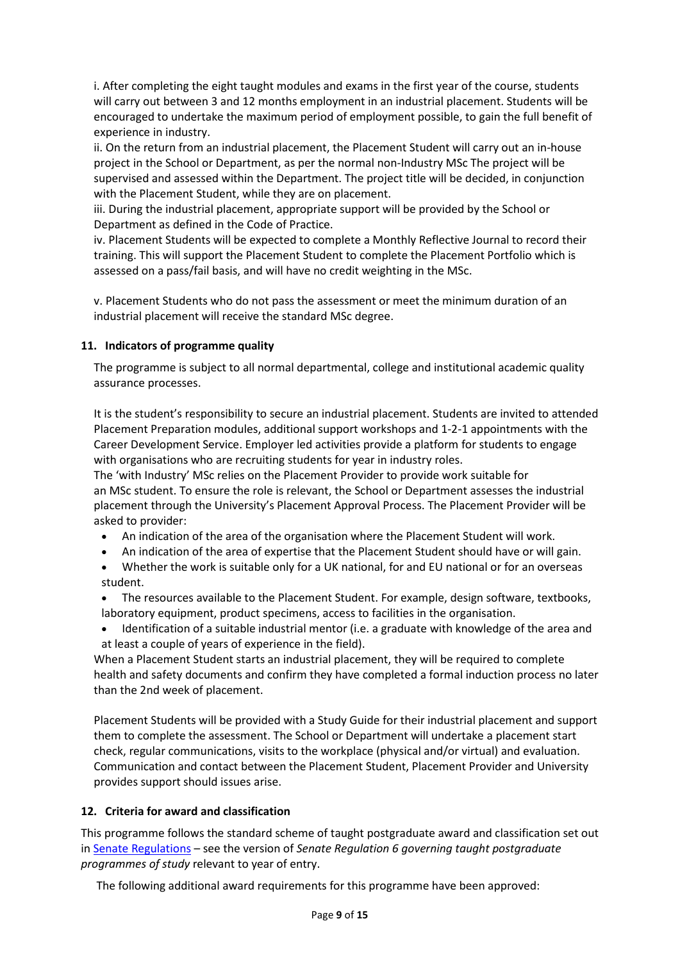i. After completing the eight taught modules and exams in the first year of the course, students will carry out between 3 and 12 months employment in an industrial placement. Students will be encouraged to undertake the maximum period of employment possible, to gain the full benefit of experience in industry.

ii. On the return from an industrial placement, the Placement Student will carry out an in-house project in the School or Department, as per the normal non-Industry MSc The project will be supervised and assessed within the Department. The project title will be decided, in conjunction with the Placement Student, while they are on placement.

iii. During the industrial placement, appropriate support will be provided by the School or Department as defined in the Code of Practice.

iv. Placement Students will be expected to complete a Monthly Reflective Journal to record their training. This will support the Placement Student to complete the Placement Portfolio which is assessed on a pass/fail basis, and will have no credit weighting in the MSc.

v. Placement Students who do not pass the assessment or meet the minimum duration of an industrial placement will receive the standard MSc degree.

## **11. Indicators of programme quality**

The programme is subject to all normal departmental, college and institutional academic quality assurance processes.

It is the student's responsibility to secure an industrial placement. Students are invited to attended Placement Preparation modules, additional support workshops and 1-2-1 appointments with the Career Development Service. Employer led activities provide a platform for students to engage with organisations who are recruiting students for year in industry roles.

The 'with Industry' MSc relies on the Placement Provider to provide work suitable for an MSc student. To ensure the role is relevant, the School or Department assesses the industrial placement through the University's Placement Approval Process. The Placement Provider will be asked to provider:

- An indication of the area of the organisation where the Placement Student will work.
- An indication of the area of expertise that the Placement Student should have or will gain.
- Whether the work is suitable only for a UK national, for and EU national or for an overseas student.
- The resources available to the Placement Student. For example, design software, textbooks, laboratory equipment, product specimens, access to facilities in the organisation.
- Identification of a suitable industrial mentor (i.e. a graduate with knowledge of the area and at least a couple of years of experience in the field).

When a Placement Student starts an industrial placement, they will be required to complete health and safety documents and confirm they have completed a formal induction process no later than the 2nd week of placement.

Placement Students will be provided with a Study Guide for their industrial placement and support them to complete the assessment. The School or Department will undertake a placement start check, regular communications, visits to the workplace (physical and/or virtual) and evaluation. Communication and contact between the Placement Student, Placement Provider and University provides support should issues arise.

## **12. Criteria for award and classification**

This programme follows the standard scheme of taught postgraduate award and classification set out i[n Senate Regulations](http://www.le.ac.uk/senate-regulations) – see the version of *Senate Regulation 6 governing taught postgraduate programmes of study* relevant to year of entry.

The following additional award requirements for this programme have been approved: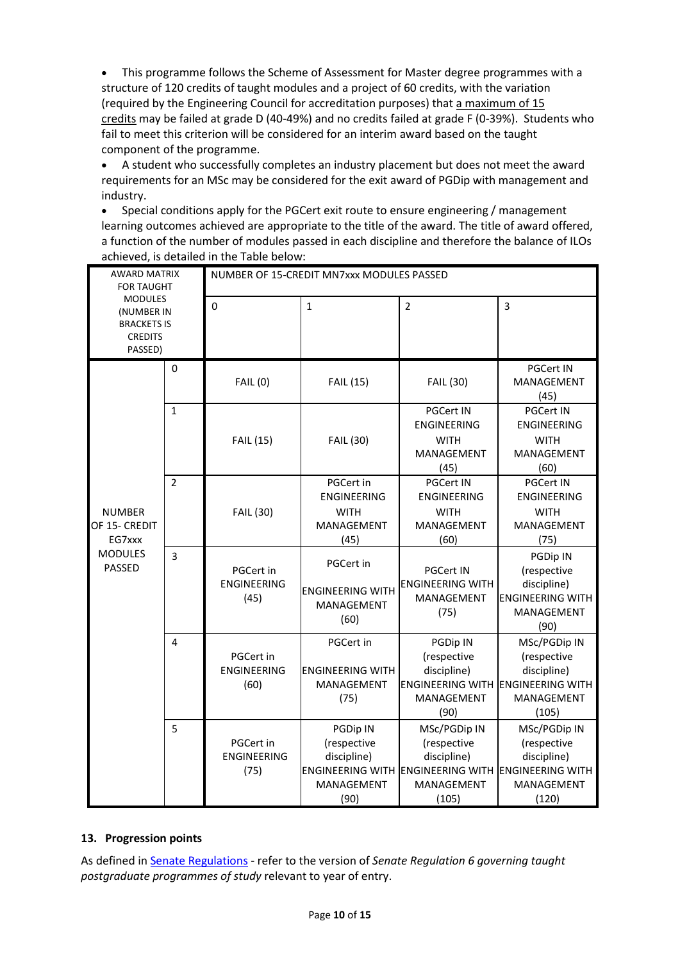• This programme follows the Scheme of Assessment for Master degree programmes with a structure of 120 credits of taught modules and a project of 60 credits, with the variation (required by the Engineering Council for accreditation purposes) that a maximum of 15 credits may be failed at grade D (40-49%) and no credits failed at grade F (0-39%). Students who fail to meet this criterion will be considered for an interim award based on the taught component of the programme.

• A student who successfully completes an industry placement but does not meet the award requirements for an MSc may be considered for the exit award of PGDip with management and industry.

• Special conditions apply for the PGCert exit route to ensure engineering / management learning outcomes achieved are appropriate to the title of the award. The title of award offered, a function of the number of modules passed in each discipline and therefore the balance of ILOs achieved, is detailed in the Table below:

| <b>AWARD MATRIX</b><br><b>FOR TAUGHT</b><br><b>MODULES</b><br>(NUMBER IN<br><b>BRACKETS IS</b><br><b>CREDITS</b><br>PASSED) |                | NUMBER OF 15-CREDIT MN7xxx MODULES PASSED |                                                                      |                                                                                                                                |                                                                                         |  |
|-----------------------------------------------------------------------------------------------------------------------------|----------------|-------------------------------------------|----------------------------------------------------------------------|--------------------------------------------------------------------------------------------------------------------------------|-----------------------------------------------------------------------------------------|--|
|                                                                                                                             |                | $\mathbf 0$                               | 1                                                                    | $\overline{2}$                                                                                                                 | 3                                                                                       |  |
|                                                                                                                             | $\mathbf 0$    | <b>FAIL (0)</b>                           | <b>FAIL (15)</b>                                                     | FAIL (30)                                                                                                                      | <b>PGCert IN</b><br>MANAGEMENT<br>(45)                                                  |  |
|                                                                                                                             | $\mathbf{1}$   | <b>FAIL (15)</b>                          | <b>FAIL (30)</b>                                                     | <b>PGCert IN</b><br><b>ENGINEERING</b><br><b>WITH</b><br>MANAGEMENT<br>(45)                                                    | <b>PGCert IN</b><br><b>ENGINEERING</b><br><b>WITH</b><br>MANAGEMENT<br>(60)             |  |
| <b>NUMBER</b><br>OF 15- CREDIT<br>EG7xxx<br><b>MODULES</b><br><b>PASSED</b>                                                 | $\overline{2}$ | FAIL (30)                                 | PGCert in<br><b>ENGINEERING</b><br><b>WITH</b><br>MANAGEMENT<br>(45) | <b>PGCert IN</b><br><b>ENGINEERING</b><br><b>WITH</b><br>MANAGEMENT<br>(60)                                                    | <b>PGCert IN</b><br><b>ENGINEERING</b><br><b>WITH</b><br>MANAGEMENT<br>(75)             |  |
|                                                                                                                             | $\overline{3}$ | PGCert in<br><b>ENGINEERING</b><br>(45)   | PGCert in<br><b>ENGINEERING WITH</b><br>MANAGEMENT<br>(60)           | <b>PGCert IN</b><br><b>ENGINEERING WITH</b><br>MANAGEMENT<br>(75)                                                              | PGDip IN<br>(respective<br>discipline)<br><b>ENGINEERING WITH</b><br>MANAGEMENT<br>(90) |  |
|                                                                                                                             | 4              | PGCert in<br><b>ENGINEERING</b><br>(60)   | PGCert in<br><b>ENGINEERING WITH</b><br>MANAGEMENT<br>(75)           | PGDip IN<br>(respective<br>discipline)<br><b>ENGINEERING WITH ENGINEERING WITH</b><br>MANAGEMENT<br>(90)                       | MSc/PGDip IN<br>(respective<br>discipline)<br>MANAGEMENT<br>(105)                       |  |
|                                                                                                                             | 5              | PGCert in<br><b>ENGINEERING</b><br>(75)   | PGDip IN<br>(respective<br>discipline)<br>MANAGEMENT<br>(90)         | MSc/PGDip IN<br>(respective<br>discipline)<br><b>ENGINEERING WITH ENGINEERING WITH ENGINEERING WITH</b><br>MANAGEMENT<br>(105) | MSc/PGDip IN<br>(respective<br>discipline)<br>MANAGEMENT<br>(120)                       |  |

### **13. Progression points**

As defined i[n Senate Regulations](http://www.le.ac.uk/senate-regulation6) - refer to the version of *Senate Regulation 6 governing taught postgraduate programmes of study* relevant to year of entry.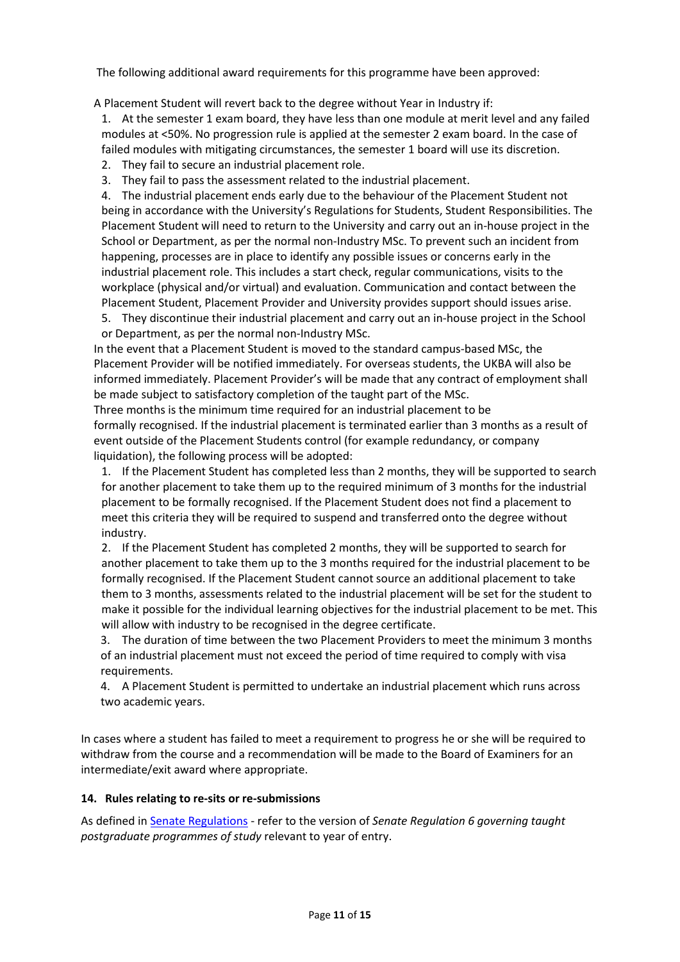The following additional award requirements for this programme have been approved:

A Placement Student will revert back to the degree without Year in Industry if:

1. At the semester 1 exam board, they have less than one module at merit level and any failed modules at <50%. No progression rule is applied at the semester 2 exam board. In the case of failed modules with mitigating circumstances, the semester 1 board will use its discretion.

- 2. They fail to secure an industrial placement role.
- 3. They fail to pass the assessment related to the industrial placement.

4. The industrial placement ends early due to the behaviour of the Placement Student not being in accordance with the University's Regulations for Students, Student Responsibilities. The Placement Student will need to return to the University and carry out an in-house project in the School or Department, as per the normal non-Industry MSc. To prevent such an incident from happening, processes are in place to identify any possible issues or concerns early in the industrial placement role. This includes a start check, regular communications, visits to the workplace (physical and/or virtual) and evaluation. Communication and contact between the Placement Student, Placement Provider and University provides support should issues arise.

5. They discontinue their industrial placement and carry out an in-house project in the School or Department, as per the normal non-Industry MSc.

In the event that a Placement Student is moved to the standard campus-based MSc, the Placement Provider will be notified immediately. For overseas students, the UKBA will also be informed immediately. Placement Provider's will be made that any contract of employment shall be made subject to satisfactory completion of the taught part of the MSc.

Three months is the minimum time required for an industrial placement to be formally recognised. If the industrial placement is terminated earlier than 3 months as a result of event outside of the Placement Students control (for example redundancy, or company liquidation), the following process will be adopted:

1. If the Placement Student has completed less than 2 months, they will be supported to search for another placement to take them up to the required minimum of 3 months for the industrial placement to be formally recognised. If the Placement Student does not find a placement to meet this criteria they will be required to suspend and transferred onto the degree without industry.

2. If the Placement Student has completed 2 months, they will be supported to search for another placement to take them up to the 3 months required for the industrial placement to be formally recognised. If the Placement Student cannot source an additional placement to take them to 3 months, assessments related to the industrial placement will be set for the student to make it possible for the individual learning objectives for the industrial placement to be met. This will allow with industry to be recognised in the degree certificate.

3. The duration of time between the two Placement Providers to meet the minimum 3 months of an industrial placement must not exceed the period of time required to comply with visa requirements.

4. A Placement Student is permitted to undertake an industrial placement which runs across two academic years.

In cases where a student has failed to meet a requirement to progress he or she will be required to withdraw from the course and a recommendation will be made to the Board of Examiners for an intermediate/exit award where appropriate.

### **14. Rules relating to re-sits or re-submissions**

As defined i[n Senate Regulations](http://www.le.ac.uk/senate-regulation6) - refer to the version of *Senate Regulation 6 governing taught postgraduate programmes of study* relevant to year of entry.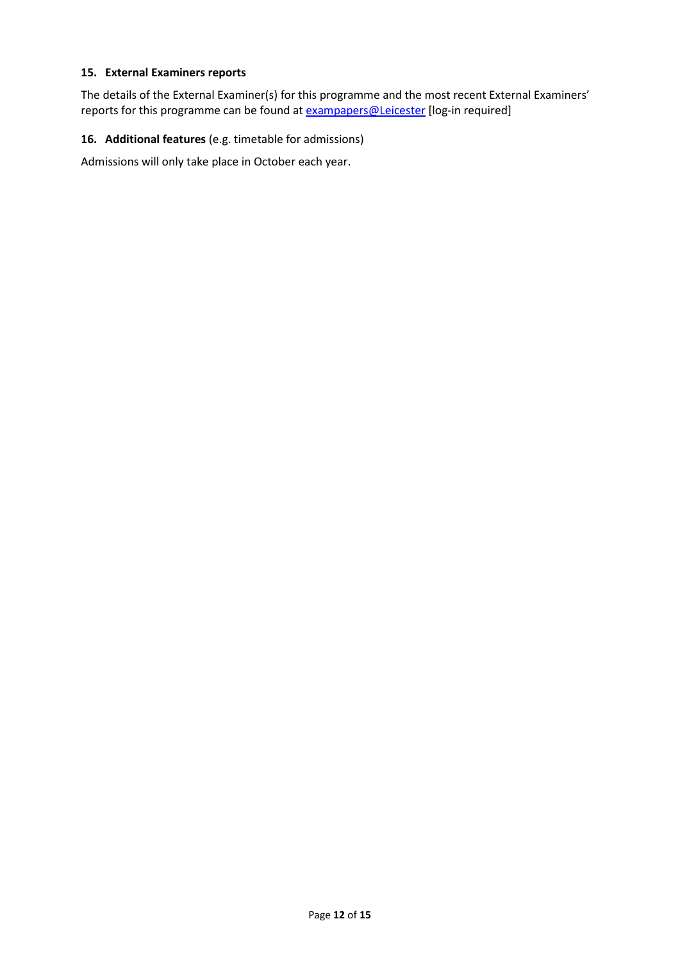## **15. External Examiners reports**

The details of the External Examiner(s) for this programme and the most recent External Examiners' reports for this programme can be found at **exampapers@Leicester** [log-in required]

## **16. Additional features** (e.g. timetable for admissions)

Admissions will only take place in October each year.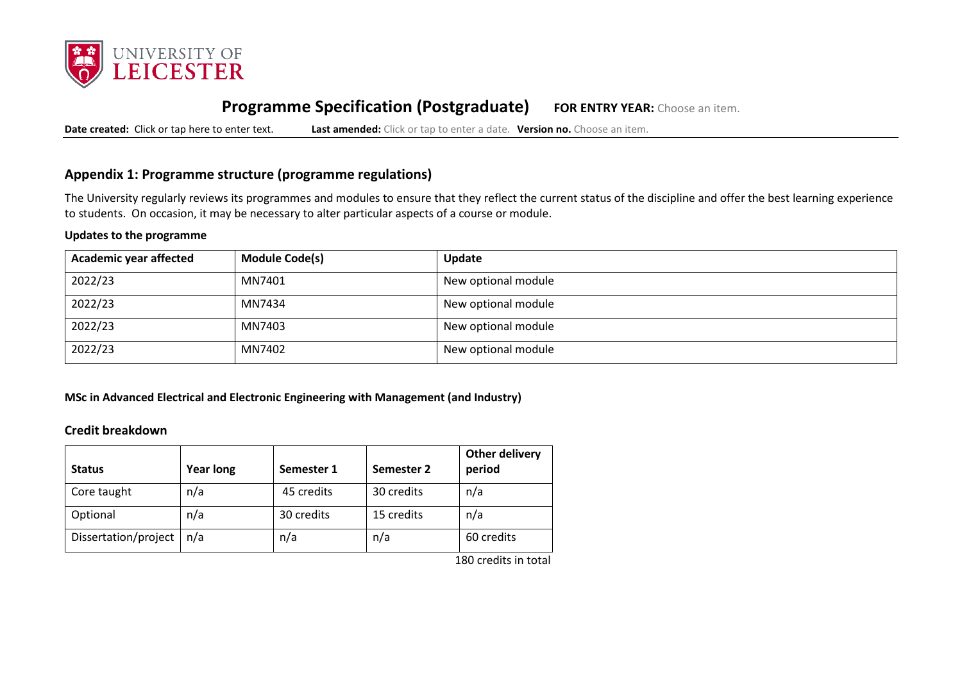

# **Programme Specification (Postgraduate) FOR ENTRY YEAR:** Choose an item.

**Date created:** Click or tap here to enter text. **Last amended:** Click or tap to enter a date. **Version no.** Choose an item.

# **Appendix 1: Programme structure (programme regulations)**

The University regularly reviews its programmes and modules to ensure that they reflect the current status of the discipline and offer the best learning experience to students. On occasion, it may be necessary to alter particular aspects of a course or module.

### **Updates to the programme**

| <b>Academic year affected</b> | <b>Module Code(s)</b> | Update              |
|-------------------------------|-----------------------|---------------------|
| 2022/23                       | MN7401                | New optional module |
| 2022/23                       | MN7434                | New optional module |
| 2022/23                       | MN7403                | New optional module |
| 2022/23                       | MN7402                | New optional module |

**MSc in Advanced Electrical and Electronic Engineering with Management (and Industry)**

## **Credit breakdown**

| <b>Status</b>        | <b>Year long</b> | Semester 1 | Semester 2 | Other delivery<br>period |
|----------------------|------------------|------------|------------|--------------------------|
| Core taught          | n/a              | 45 credits | 30 credits | n/a                      |
| Optional             | n/a              | 30 credits | 15 credits | n/a                      |
| Dissertation/project | n/a              | n/a        | n/a        | 60 credits               |

180 credits in total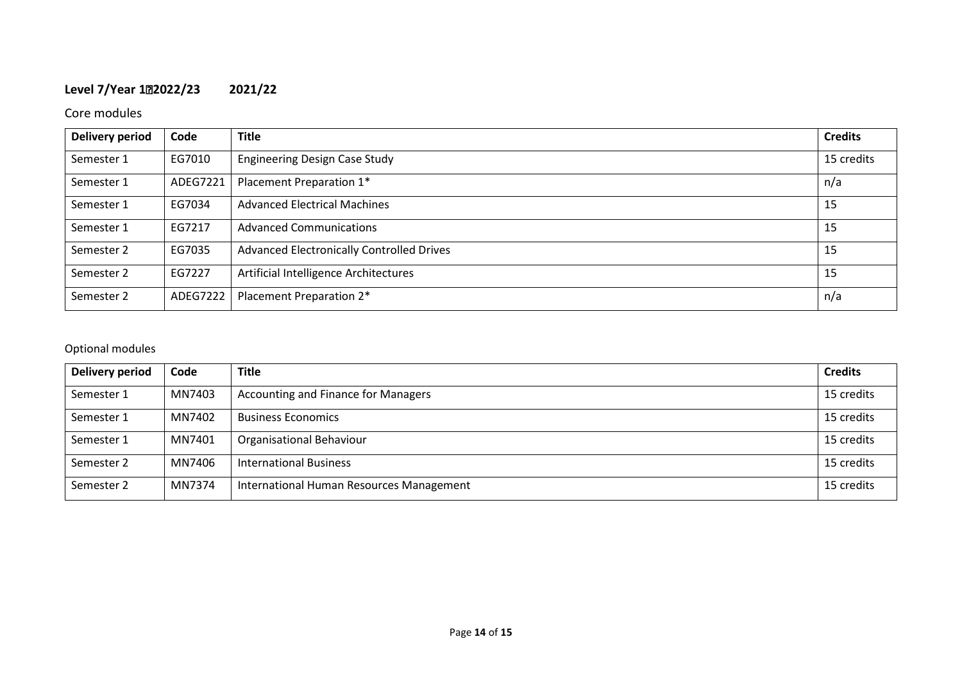# **Level 7/Year 12022/23 2021/22**

# Core modules

| Delivery period | Code     | <b>Title</b>                              | <b>Credits</b> |
|-----------------|----------|-------------------------------------------|----------------|
| Semester 1      | EG7010   | <b>Engineering Design Case Study</b>      | 15 credits     |
| Semester 1      | ADEG7221 | Placement Preparation 1*                  | n/a            |
| Semester 1      | EG7034   | <b>Advanced Electrical Machines</b>       | 15             |
| Semester 1      | EG7217   | <b>Advanced Communications</b>            | 15             |
| Semester 2      | EG7035   | Advanced Electronically Controlled Drives | 15             |
| Semester 2      | EG7227   | Artificial Intelligence Architectures     | 15             |
| Semester 2      | ADEG7222 | Placement Preparation 2*                  | n/a            |

# Optional modules

| Delivery period | Code   | <b>Title</b>                               | <b>Credits</b> |
|-----------------|--------|--------------------------------------------|----------------|
| Semester 1      | MN7403 | <b>Accounting and Finance for Managers</b> | 15 credits     |
| Semester 1      | MN7402 | <b>Business Economics</b>                  | 15 credits     |
| Semester 1      | MN7401 | <b>Organisational Behaviour</b>            | 15 credits     |
| Semester 2      | MN7406 | <b>International Business</b>              | 15 credits     |
| Semester 2      | MN7374 | International Human Resources Management   | 15 credits     |